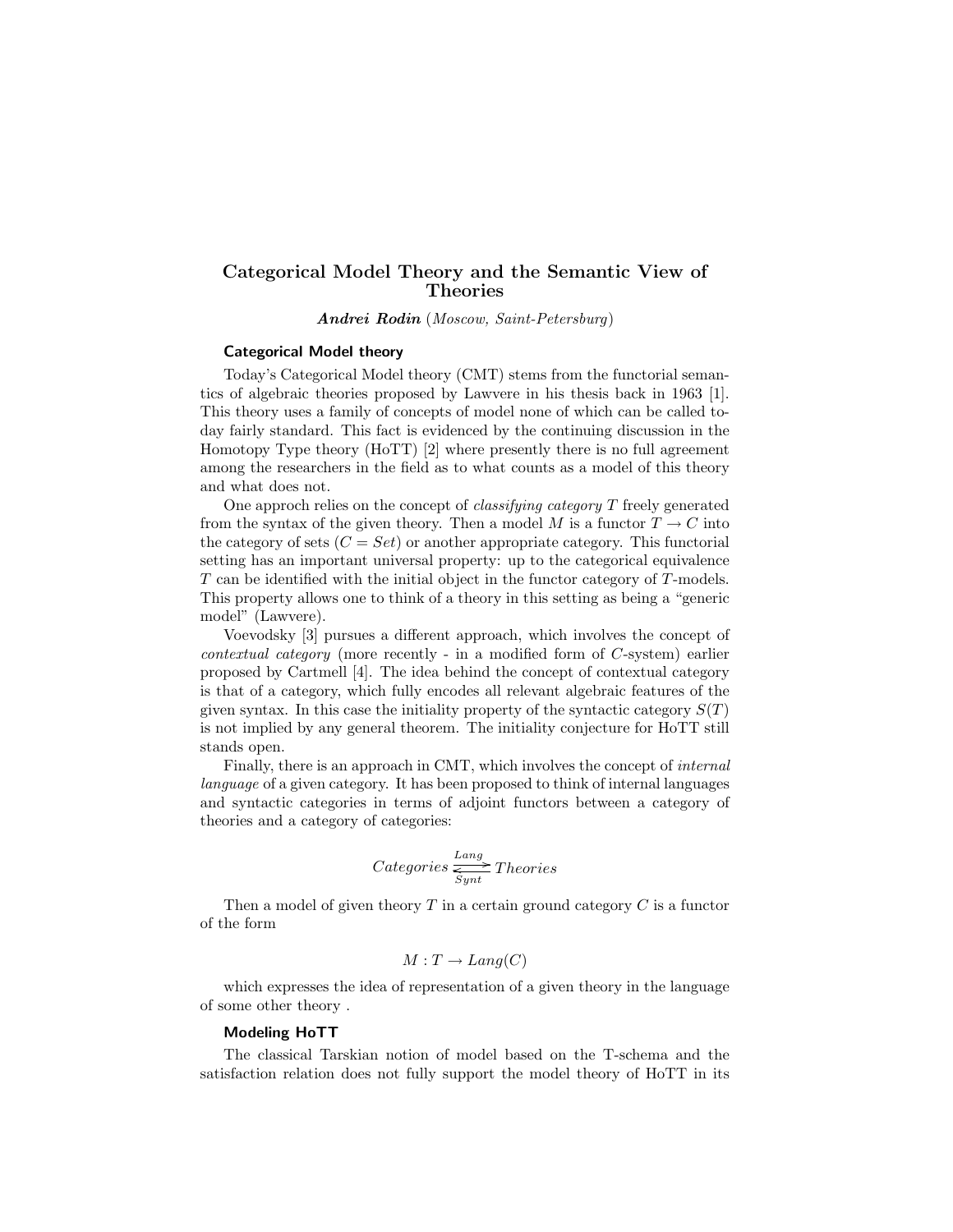# Categorical Model Theory and the Semantic View of Theories

Andrei Rodin (Moscow, Saint-Petersburg)

## Categorical Model theory

Today's Categorical Model theory (CMT) stems from the functorial semantics of algebraic theories proposed by Lawvere in his thesis back in 1963 [1]. This theory uses a family of concepts of model none of which can be called today fairly standard. This fact is evidenced by the continuing discussion in the Homotopy Type theory (HoTT) [2] where presently there is no full agreement among the researchers in the field as to what counts as a model of this theory and what does not.

One approch relies on the concept of classifying category T freely generated from the syntax of the given theory. Then a model M is a functor  $T \to C$  into the category of sets  $(C = Set)$  or another appropriate category. This functorial setting has an important universal property: up to the categorical equivalence T can be identified with the initial object in the functor category of T-models. This property allows one to think of a theory in this setting as being a "generic model" (Lawvere).

Voevodsky [3] pursues a different approach, which involves the concept of contextual category (more recently - in a modified form of C-system) earlier proposed by Cartmell [4]. The idea behind the concept of contextual category is that of a category, which fully encodes all relevant algebraic features of the given syntax. In this case the initiality property of the syntactic category  $S(T)$ is not implied by any general theorem. The initiality conjecture for HoTT still stands open.

Finally, there is an approach in CMT, which involves the concept of internal language of a given category. It has been proposed to think of internal languages and syntactic categories in terms of adjoint functors between a category of theories and a category of categories:

$$
Categorical \xrightarrow{\text{Lang}} \text{Theories}
$$

Then a model of given theory  $T$  in a certain ground category  $C$  is a functor of the form

$$
M: T \to Lang(C)
$$

which expresses the idea of representation of a given theory in the language of some other theory .

### Modeling HoTT

The classical Tarskian notion of model based on the T-schema and the satisfaction relation does not fully support the model theory of HoTT in its